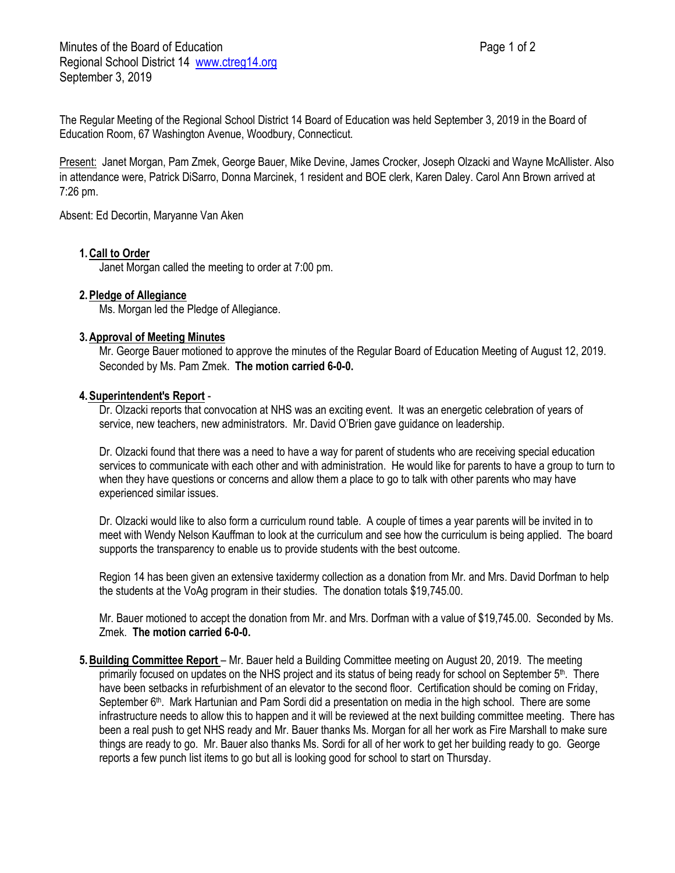The Regular Meeting of the Regional School District 14 Board of Education was held September 3, 2019 in the Board of Education Room, 67 Washington Avenue, Woodbury, Connecticut.

Present: Janet Morgan, Pam Zmek, George Bauer, Mike Devine, James Crocker, Joseph Olzacki and Wayne McAllister. Also in attendance were, Patrick DiSarro, Donna Marcinek, 1 resident and BOE clerk, Karen Daley. Carol Ann Brown arrived at 7:26 pm.

Absent: Ed Decortin, Maryanne Van Aken

### **1.Call to Order**

Janet Morgan called the meeting to order at 7:00 pm.

# **2.Pledge of Allegiance**

Ms. Morgan led the Pledge of Allegiance.

### **3.Approval of Meeting Minutes**

Mr. George Bauer motioned to approve the minutes of the Regular Board of Education Meeting of August 12, 2019. Seconded by Ms. Pam Zmek. **The motion carried 6-0-0.**

#### **4.Superintendent**'**s Report** -

Dr. Olzacki reports that convocation at NHS was an exciting event. It was an energetic celebration of years of service, new teachers, new administrators. Mr. David O'Brien gave guidance on leadership.

Dr. Olzacki found that there was a need to have a way for parent of students who are receiving special education services to communicate with each other and with administration. He would like for parents to have a group to turn to when they have questions or concerns and allow them a place to go to talk with other parents who may have experienced similar issues.

Dr. Olzacki would like to also form a curriculum round table. A couple of times a year parents will be invited in to meet with Wendy Nelson Kauffman to look at the curriculum and see how the curriculum is being applied. The board supports the transparency to enable us to provide students with the best outcome.

Region 14 has been given an extensive taxidermy collection as a donation from Mr. and Mrs. David Dorfman to help the students at the VoAg program in their studies. The donation totals \$19,745.00.

Mr. Bauer motioned to accept the donation from Mr. and Mrs. Dorfman with a value of \$19,745.00. Seconded by Ms. Zmek. **The motion carried 6-0-0.** 

**5.Building Committee Report** – Mr. Bauer held a Building Committee meeting on August 20, 2019. The meeting primarily focused on updates on the NHS project and its status of being ready for school on September 5<sup>th</sup>. There have been setbacks in refurbishment of an elevator to the second floor. Certification should be coming on Friday, September 6<sup>th</sup>. Mark Hartunian and Pam Sordi did a presentation on media in the high school. There are some infrastructure needs to allow this to happen and it will be reviewed at the next building committee meeting. There has been a real push to get NHS ready and Mr. Bauer thanks Ms. Morgan for all her work as Fire Marshall to make sure things are ready to go. Mr. Bauer also thanks Ms. Sordi for all of her work to get her building ready to go. George reports a few punch list items to go but all is looking good for school to start on Thursday.